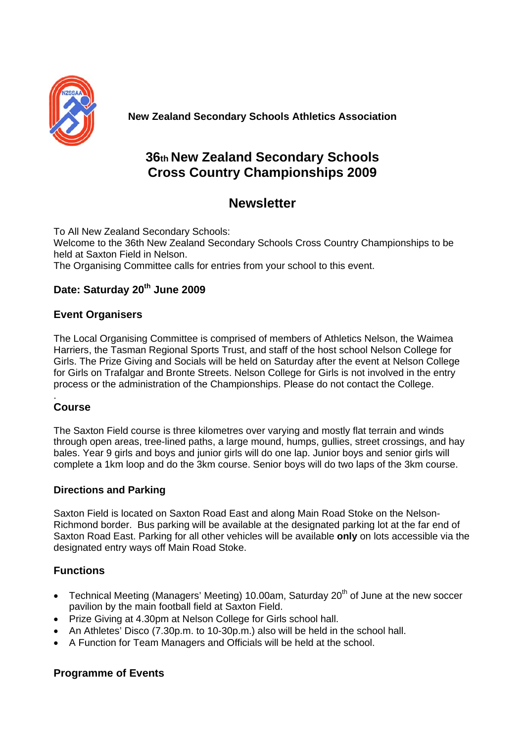

**New Zealand Secondary Schools Athletics Association**

# **36th New Zealand Secondary Schools Cross Country Championships 2009**

# **Newsletter**

To All New Zealand Secondary Schools: Welcome to the 36th New Zealand Secondary Schools Cross Country Championships to be held at Saxton Field in Nelson. The Organising Committee calls for entries from your school to this event.

# **Date: Saturday 20th June 2009**

## **Event Organisers**

The Local Organising Committee is comprised of members of Athletics Nelson, the Waimea Harriers, the Tasman Regional Sports Trust, and staff of the host school Nelson College for Girls. The Prize Giving and Socials will be held on Saturday after the event at Nelson College for Girls on Trafalgar and Bronte Streets. Nelson College for Girls is not involved in the entry process or the administration of the Championships. Please do not contact the College.

#### . **Course**

The Saxton Field course is three kilometres over varying and mostly flat terrain and winds through open areas, tree-lined paths, a large mound, humps, gullies, street crossings, and hay bales. Year 9 girls and boys and junior girls will do one lap. Junior boys and senior girls will complete a 1km loop and do the 3km course. Senior boys will do two laps of the 3km course.

## **Directions and Parking**

Saxton Field is located on Saxton Road East and along Main Road Stoke on the Nelson-Richmond border. Bus parking will be available at the designated parking lot at the far end of Saxton Road East. Parking for all other vehicles will be available **only** on lots accessible via the designated entry ways off Main Road Stoke.

## **Functions**

- Technical Meeting (Managers' Meeting) 10.00am, Saturday  $20<sup>th</sup>$  of June at the new soccer pavilion by the main football field at Saxton Field.
- Prize Giving at 4.30pm at Nelson College for Girls school hall.
- An Athletes' Disco (7.30p.m. to 10-30p.m.) also will be held in the school hall.
- A Function for Team Managers and Officials will be held at the school.

## **Programme of Events**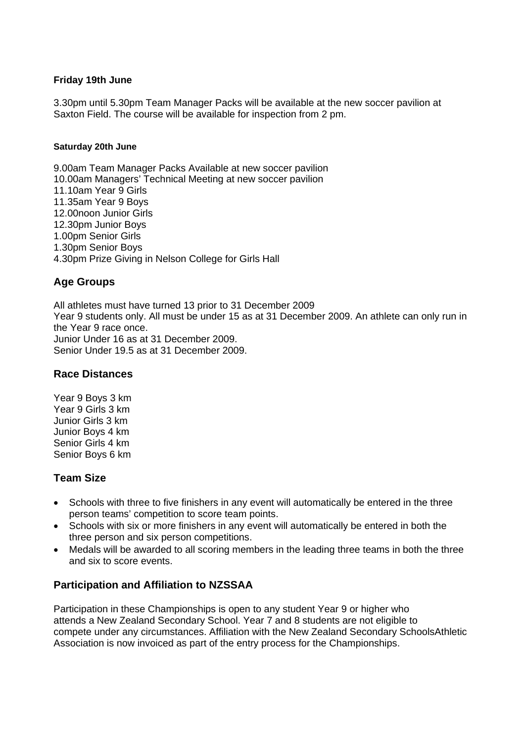#### **Friday 19th June**

3.30pm until 5.30pm Team Manager Packs will be available at the new soccer pavilion at Saxton Field. The course will be available for inspection from 2 pm.

#### **Saturday 20th June**

9.00am Team Manager Packs Available at new soccer pavilion 10.00am Managers' Technical Meeting at new soccer pavilion 11.10am Year 9 Girls 11.35am Year 9 Boys 12.00noon Junior Girls 12.30pm Junior Boys 1.00pm Senior Girls 1.30pm Senior Boys 4.30pm Prize Giving in Nelson College for Girls Hall

### **Age Groups**

All athletes must have turned 13 prior to 31 December 2009 Year 9 students only. All must be under 15 as at 31 December 2009. An athlete can only run in the Year 9 race once. Junior Under 16 as at 31 December 2009. Senior Under 19.5 as at 31 December 2009.

#### **Race Distances**

Year 9 Boys 3 km Year 9 Girls 3 km Junior Girls 3 km Junior Boys 4 km Senior Girls 4 km Senior Boys 6 km

### **Team Size**

- Schools with three to five finishers in any event will automatically be entered in the three person teams' competition to score team points.
- Schools with six or more finishers in any event will automatically be entered in both the three person and six person competitions.
- Medals will be awarded to all scoring members in the leading three teams in both the three and six to score events.

### **Participation and Affiliation to NZSSAA**

Participation in these Championships is open to any student Year 9 or higher who attends a New Zealand Secondary School. Year 7 and 8 students are not eligible to compete under any circumstances. Affiliation with the New Zealand Secondary SchoolsAthletic Association is now invoiced as part of the entry process for the Championships.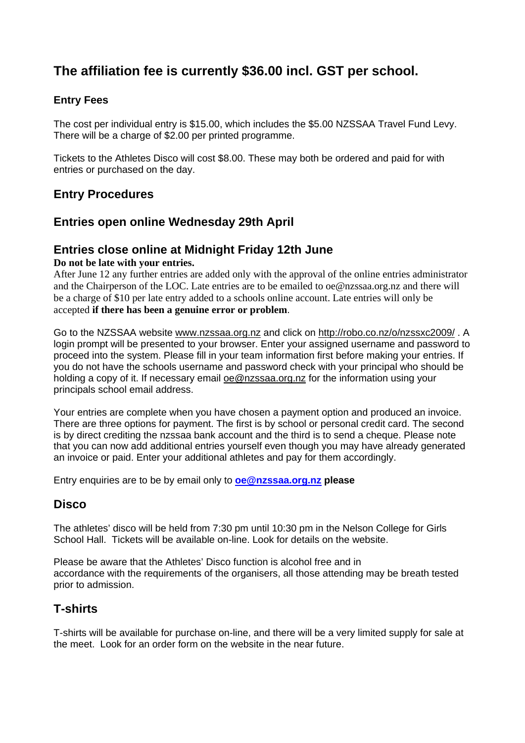# **The affiliation fee is currently \$36.00 incl. GST per school.**

## **Entry Fees**

The cost per individual entry is \$15.00, which includes the \$5.00 NZSSAA Travel Fund Levy. There will be a charge of \$2.00 per printed programme.

Tickets to the Athletes Disco will cost \$8.00. These may both be ordered and paid for with entries or purchased on the day.

# **Entry Procedures**

## **Entries open online Wednesday 29th April**

## **Entries close online at Midnight Friday 12th June**

#### **Do not be late with your entries.**

After June 12 any further entries are added only with the approval of the online entries administrator and the Chairperson of the LOC. Late entries are to be emailed to oe@nzssaa.org.nz and there will be a charge of \$10 per late entry added to a schools online account. Late entries will only be accepted **if there has been a genuine error or problem**.

Go to the NZSSAA website www.nzssaa.org.nz and click on http://robo.co.nz/o/nzssxc2009/ . A login prompt will be presented to your browser. Enter your assigned username and password to proceed into the system. Please fill in your team information first before making your entries. If you do not have the schools username and password check with your principal who should be holding a copy of it. If necessary email oe@nzssaa.org.nz for the information using your principals school email address.

Your entries are complete when you have chosen a payment option and produced an invoice. There are three options for payment. The first is by school or personal credit card. The second is by direct crediting the nzssaa bank account and the third is to send a cheque. Please note that you can now add additional entries yourself even though you may have already generated an invoice or paid. Enter your additional athletes and pay for them accordingly.

Entry enquiries are to be by email only to **oe@nzssaa.org.nz please**

## **Disco**

The athletes' disco will be held from 7:30 pm until 10:30 pm in the Nelson College for Girls School Hall. Tickets will be available on-line. Look for details on the website.

Please be aware that the Athletes' Disco function is alcohol free and in accordance with the requirements of the organisers, all those attending may be breath tested prior to admission.

# **T-shirts**

T-shirts will be available for purchase on-line, and there will be a very limited supply for sale at the meet. Look for an order form on the website in the near future.